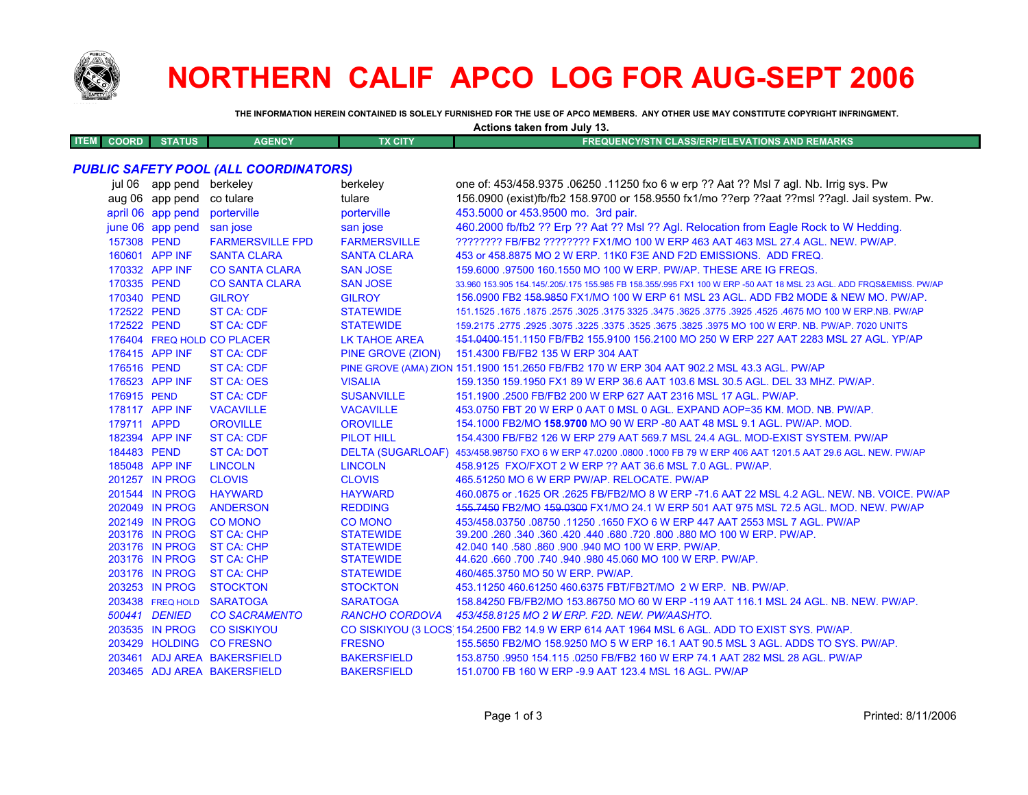

## **NORTHERN CALIF APCO LOG FOR AUG-SEPT 2006**

**Actions taken from July 13.**

**THE INFORMATION HEREIN CONTAINED IS SOLELY FURNISHED FOR THE USE OF APCO MEMBERS. ANY OTHER USE MAY CONSTITUTE COPYRIGHT INFRINGMENT.**

| <b>ITEM COORD</b>                            | <b>STATUS</b>                    | <b>AGENCY</b>                          | <b>TX CITY</b>                       | <b>FREQUENCY/STN CLASS/ERP/ELEVATIONS AND REMARKS</b>                                                                                                                        |
|----------------------------------------------|----------------------------------|----------------------------------------|--------------------------------------|------------------------------------------------------------------------------------------------------------------------------------------------------------------------------|
| <b>PUBLIC SAFETY POOL (ALL COORDINATORS)</b> |                                  |                                        |                                      |                                                                                                                                                                              |
|                                              | jul 06 app pend berkeley         |                                        | berkeley                             | one of: 453/458.9375 .06250 .11250 fxo 6 w erp ?? Aat ?? Msl 7 agl. Nb. Irrig sys. Pw                                                                                        |
|                                              | aug 06 app pend                  | co tulare                              | tulare                               | 156.0900 (exist)fb/fb2 158.9700 or 158.9550 fx1/mo ??erp ??aat ??msl ??agl. Jail system. Pw.                                                                                 |
|                                              | april 06 app pend                | porterville                            | porterville                          | 453.5000 or 453.9500 mo. 3rd pair.                                                                                                                                           |
|                                              | june 06 app pend                 | san jose                               | san jose                             | 460.2000 fb/fb2 ?? Erp ?? Aat ?? MsI ?? Agl. Relocation from Eagle Rock to W Hedding.                                                                                        |
|                                              | 157308 PEND                      | <b>FARMERSVILLE FPD</b>                | <b>FARMERSVILLE</b>                  | ???????? FB/FB2 ???????? FX1/MO 100 W ERP 463 AAT 463 MSL 27.4 AGL. NEW. PW/AP.                                                                                              |
|                                              | 160601 APP INF                   | <b>SANTA CLARA</b>                     | <b>SANTA CLARA</b>                   | 453 or 458.8875 MO 2 W ERP. 11K0 F3E AND F2D EMISSIONS. ADD FREQ.                                                                                                            |
|                                              | 170332 APP INF                   | <b>CO SANTA CLARA</b>                  | <b>SAN JOSE</b>                      | 159,6000 .97500 160.1550 MO 100 W ERP. PW/AP. THESE ARE IG FREQS.                                                                                                            |
|                                              | 170335 PEND                      | <b>CO SANTA CLARA</b>                  | <b>SAN JOSE</b>                      | 33.960 153.905 154.145/.205/.175 155.985 FB 158.355/.995 FX1 100 W ERP -50 AAT 18 MSL 23 AGL. ADD FRQS&EMISS. PW/AP                                                          |
|                                              | 170340 PEND                      | <b>GILROY</b>                          | <b>GILROY</b>                        | 156.0900 FB2 458.9850 FX1/MO 100 W ERP 61 MSL 23 AGL. ADD FB2 MODE & NEW MO. PW/AP.                                                                                          |
|                                              | 172522 PEND                      | <b>ST CA: CDF</b>                      | <b>STATEWIDE</b>                     | 151.1525 .1675 .1875 .3025 .3175 .325 .3475 .3625 .3775 .3925 .4525 .4675 .00 .1675 .1675 .1875 .187                                                                         |
|                                              | 172522 PEND                      | <b>ST CA: CDF</b>                      | <b>STATEWIDE</b>                     | 159.2175 .2775 .2925 .3075 .3225 .3375 .3625 .3675 .3825 .3975 MO 100 W ERP. NB. PW/AP. 7020 UNITS                                                                           |
|                                              |                                  | 176404 FREQ HOLD CO PLACER             | <b>LK TAHOE AREA</b>                 | 151.0400-151.1150 FB/FB2 155.9100 156.2100 MO 250 W ERP 227 AAT 2283 MSL 27 AGL. YP/AP                                                                                       |
|                                              | 176415 APP INF                   |                                        |                                      |                                                                                                                                                                              |
|                                              | 176516 PEND                      | <b>ST CA: CDF</b>                      | PINE GROVE (ZION)                    | 151.4300 FB/FB2 135 W ERP 304 AAT                                                                                                                                            |
|                                              | 176523 APP INF                   | <b>ST CA: CDF</b><br><b>ST CA: OES</b> | <b>VISALIA</b>                       | PINE GROVE (AMA) ZION 151.1900 151.2650 FB/FB2 170 W ERP 304 AAT 902.2 MSL 43.3 AGL. PW/AP<br>159.1350 159.1950 FX1 89 W ERP 36.6 AAT 103.6 MSL 30.5 AGL. DEL 33 MHZ. PW/AP. |
|                                              |                                  |                                        |                                      |                                                                                                                                                                              |
| 176915 PEND                                  | 178117 APP INF                   | <b>ST CA: CDF</b>                      | <b>SUSANVILLE</b>                    | 151.1900 .2500 FB/FB2 200 W ERP 627 AAT 2316 MSL 17 AGL. PW/AP.                                                                                                              |
|                                              |                                  | <b>VACAVILLE</b>                       | <b>VACAVILLE</b>                     | 453.0750 FBT 20 W ERP 0 AAT 0 MSL 0 AGL. EXPAND AOP=35 KM. MOD. NB. PW/AP.                                                                                                   |
|                                              | 179711 APPD                      | <b>OROVILLE</b>                        | <b>OROVILLE</b>                      | 154.1000 FB2/MO 158.9700 MO 90 W ERP -80 AAT 48 MSL 9.1 AGL. PW/AP. MOD.                                                                                                     |
|                                              | 182394 APP INF                   | <b>ST CA: CDF</b>                      | <b>PILOT HILL</b>                    | 154,4300 FB/FB2 126 W ERP 279 AAT 569.7 MSL 24.4 AGL, MOD-EXIST SYSTEM, PW/AP                                                                                                |
|                                              | 184483 PEND                      | <b>ST CA: DOT</b>                      |                                      | DELTA (SUGARLOAF) 453/458.98750 FXO 6 W ERP 47.0200 .0800 .1000 FB 79 W ERP 406 AAT 1201.5 AAT 29.6 AGL. NEW. PW/AP                                                          |
|                                              | 185048 APP INF                   | <b>LINCOLN</b>                         | <b>LINCOLN</b>                       | 458.9125 FXO/FXOT 2 W ERP ?? AAT 36.6 MSL 7.0 AGL. PW/AP.                                                                                                                    |
|                                              | 201257 IN PROG                   | <b>CLOVIS</b>                          | <b>CLOVIS</b>                        | 465.51250 MO 6 W ERP PW/AP. RELOCATE. PW/AP                                                                                                                                  |
|                                              | 201544 IN PROG                   | <b>HAYWARD</b>                         | <b>HAYWARD</b>                       | 460.0875 or .1625 OR .2625 FB/FB2/MO 8 W ERP -71.6 AAT 22 MSL 4.2 AGL. NEW. NB. VOICE. PW/AP                                                                                 |
|                                              | 202049 IN PROG                   | <b>ANDERSON</b>                        | <b>REDDING</b>                       | 155.7450 FB2/MO 159.0300 FX1/MO 24.1 W ERP 501 AAT 975 MSL 72.5 AGL. MOD. NEW. PW/AP                                                                                         |
|                                              | 202149 IN PROG                   | <b>CO MONO</b>                         | <b>CO MONO</b>                       | 453/458.03750.08750.11250.1650 FXO 6 W ERP 447 AAT 2553 MSL 7 AGL. PW/AP                                                                                                     |
|                                              | 203176 IN PROG<br>203176 IN PROG | <b>ST CA: CHP</b><br><b>ST CA: CHP</b> | <b>STATEWIDE</b><br><b>STATEWIDE</b> | 39.200 .260 .340 .360 .420 .440 .680 .720 .800 .880 MO 100 W ERP. PW/AP.<br>42.040 140 .580 .860 .900 .940 MO 100 W ERP. PW/AP.                                              |
|                                              | 203176 IN PROG                   | <b>ST CA: CHP</b>                      | <b>STATEWIDE</b>                     | 44.620 .660 .700 .740 .940 .980 45.060 MO 100 W ERP. PW/AP.                                                                                                                  |
|                                              | 203176 IN PROG                   | <b>ST CA: CHP</b>                      | <b>STATEWIDE</b>                     | 460/465.3750 MO 50 W ERP. PW/AP.                                                                                                                                             |
|                                              | 203253 IN PROG                   | <b>STOCKTON</b>                        | <b>STOCKTON</b>                      | 453.11250 460.61250 460.6375 FBT/FB2T/MO 2 W ERP. NB. PW/AP.                                                                                                                 |
|                                              | 203438 FREQ HOLD                 | <b>SARATOGA</b>                        | <b>SARATOGA</b>                      | 158.84250 FB/FB2/MO 153.86750 MO 60 W ERP -119 AAT 116.1 MSL 24 AGL. NB. NEW. PW/AP.                                                                                         |
|                                              | 500441 DENIED                    | <b>CO SACRAMENTO</b>                   | <b>RANCHO CORDOVA</b>                | 453/458.8125 MO 2 W ERP. F2D. NEW. PW/AASHTO.                                                                                                                                |
|                                              | 203535 IN PROG                   | <b>CO SISKIYOU</b>                     |                                      | CO SISKIYOU (3 LOCS 154.2500 FB2 14.9 W ERP 614 AAT 1964 MSL 6 AGL. ADD TO EXIST SYS. PW/AP.                                                                                 |
|                                              |                                  |                                        |                                      |                                                                                                                                                                              |
|                                              | 203429 HOLDING                   | <b>CO FRESNO</b>                       | <b>FRESNO</b>                        | 155.5650 FB2/MO 158.9250 MO 5 W ERP 16.1 AAT 90.5 MSL 3 AGL. ADDS TO SYS. PW/AP.                                                                                             |
|                                              |                                  | 203461 ADJ AREA BAKERSFIELD            | <b>BAKERSFIELD</b>                   | 153,8750,9950 154,115,0250 FB/FB2 160 W ERP 74.1 AAT 282 MSL 28 AGL, PW/AP                                                                                                   |
|                                              |                                  | 203465 ADJ AREA BAKERSFIELD            | <b>BAKERSFIELD</b>                   | 151.0700 FB 160 W ERP -9.9 AAT 123.4 MSL 16 AGL, PW/AP                                                                                                                       |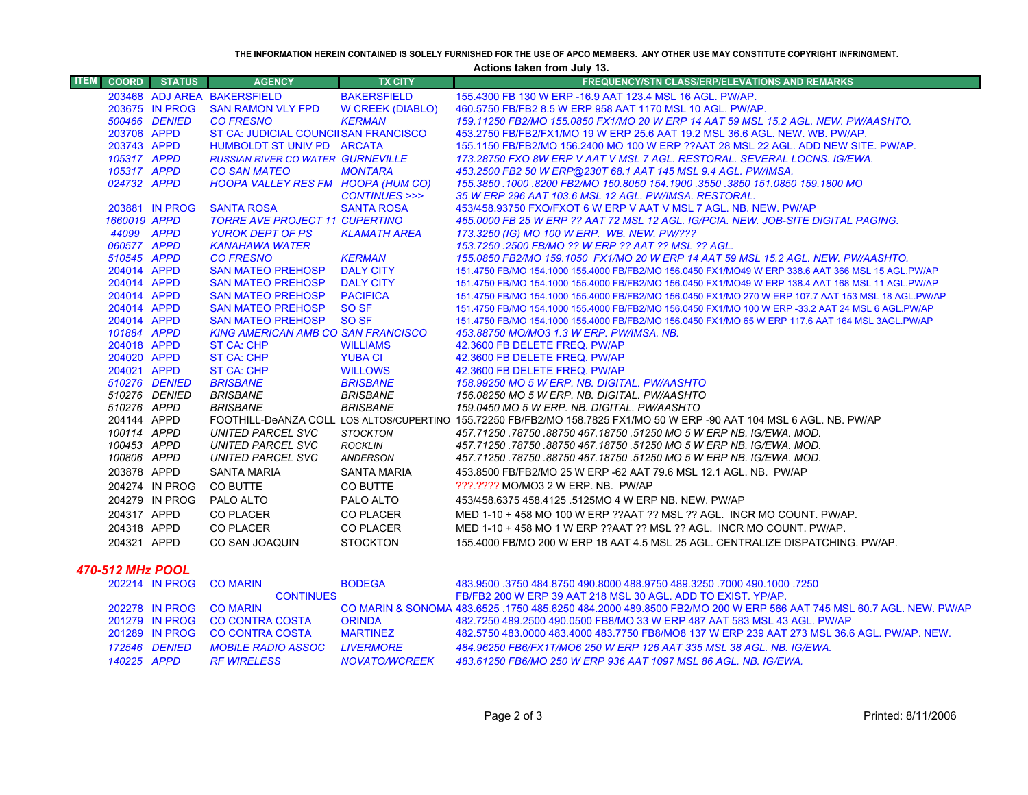**THE INFORMATION HEREIN CONTAINED IS SOLELY FURNISHED FOR THE USE OF APCO MEMBERS. ANY OTHER USE MAY CONSTITUTE COPYRIGHT INFRINGMENT.**

**Actions taken from July 13.**

| <b>ITEM</b>      | <b>COORD</b>               | <b>STATUS</b>  | <b>AGENCY</b>                                           | <b>TX CITY</b>          | <b>FREQUENCY/STN CLASS/ERP/ELEVATIONS AND REMARKS</b>                                                                  |
|------------------|----------------------------|----------------|---------------------------------------------------------|-------------------------|------------------------------------------------------------------------------------------------------------------------|
|                  |                            |                | 203468 ADJ AREA BAKERSFIELD                             | <b>BAKERSFIELD</b>      | 155,4300 FB 130 W ERP -16.9 AAT 123.4 MSL 16 AGL, PW/AP.                                                               |
|                  |                            | 203675 IN PROG | <b>SAN RAMON VLY FPD</b>                                | <b>W CREEK (DIABLO)</b> | 460.5750 FB/FB2 8.5 W ERP 958 AAT 1170 MSL 10 AGL, PW/AP.                                                              |
|                  |                            | 500466 DENIED  | <b>CO FRESNO</b>                                        | <b>KERMAN</b>           | 159.11250 FB2/MO 155.0850 FX1/MO 20 W ERP 14 AAT 59 MSL 15.2 AGL. NEW. PW/AASHTO.                                      |
|                  | 203706 APPD                |                | ST CA: JUDICIAL COUNCIISAN FRANCISCO                    |                         | 453.2750 FB/FB2/FX1/MO 19 W ERP 25.6 AAT 19.2 MSL 36.6 AGL. NEW, WB, PW/AP,                                            |
|                  | 203743 APPD                |                | HUMBOLDT ST UNIV PD ARCATA                              |                         | 155.1150 FB/FB2/MO 156.2400 MO 100 W ERP ??AAT 28 MSL 22 AGL, ADD NEW SITE, PW/AP,                                     |
|                  | 105317 APPD                |                | <b>RUSSIAN RIVER CO WATER GURNEVILLE</b>                |                         | 173.28750 FXO 8W ERP V AAT V MSL 7 AGL. RESTORAL. SEVERAL LOCNS. IG/EWA.                                               |
|                  | 105317 APPD                |                | <b>CO SAN MATEO</b>                                     | <b>MONTARA</b>          | 453.2500 FB2 50 W ERP@230T 68.1 AAT 145 MSL 9.4 AGL. PW/IMSA.                                                          |
|                  | 024732 APPD                |                | <b>HOOPA VALLEY RES FM HOOPA (HUM CO)</b>               |                         | 155.3850 1000 .8200 FB2/MO 150.8050 154.1900 .3550 .3850 151.0850 159.1800 MO                                          |
|                  |                            |                |                                                         | CONTINUES >>>           | 35 W ERP 296 AAT 103.6 MSL 12 AGL, PW/IMSA, RESTORAL,                                                                  |
|                  |                            | 203881 IN PROG | <b>SANTA ROSA</b>                                       | <b>SANTA ROSA</b>       | 453/458.93750 FXO/FXOT 6 W ERP V AAT V MSL 7 AGL, NB, NEW, PW/AP                                                       |
|                  | 1660019 APPD               |                | <b>TORRE AVE PROJECT 11 CUPERTINO</b>                   |                         | 465.0000 FB 25 W ERP ?? AAT 72 MSL 12 AGL. IG/PCIA. NEW. JOB-SITE DIGITAL PAGING.                                      |
|                  | 44099 APPD                 |                | <b>YUROK DEPT OF PS</b>                                 | KLAMATH AREA            | 173.3250 (IG) MO 100 W ERP. WB. NEW. PW/???                                                                            |
|                  | 060577 APPD                |                | KANAHAWA WATER                                          |                         | 153.7250 .2500 FB/MO ?? W ERP ?? AAT ?? MSL ?? AGL.                                                                    |
|                  | 510545 APPD                |                | <b>CO FRESNO</b>                                        | <b>KERMAN</b>           | 155,0850 FB2/MO 159,1050 FX1/MO 20 W ERP 14 AAT 59 MSL 15,2 AGL, NEW, PW/AASHTO,                                       |
|                  | 204014 APPD                |                | <b>SAN MATEO PREHOSP</b>                                | <b>DALY CITY</b>        | 151.4750 FB/MO 154.1000 155.4000 FB/FB2/MO 156.0450 FX1/MO49 W ERP 338.6 AAT 366 MSL 15 AGL.PW/AP                      |
|                  | 204014 APPD                |                | <b>SAN MATEO PREHOSP</b>                                | <b>DALY CITY</b>        | 151.4750 FB/MO 154.1000 155.4000 FB/FB2/MO 156.0450 FX1/MO49 W ERP 138.4 AAT 168 MSL 11 AGL.PW/AP                      |
|                  | 204014 APPD                |                | <b>SAN MATEO PREHOSP</b>                                | <b>PACIFICA</b>         | 151.4750 FB/MO 154.1000 155.4000 FB/FB2/MO 156.0450 FX1/MO 270 W ERP 107.7 AAT 153 MSL 18 AGL.PW/AP                    |
|                  | 204014 APPD                |                | <b>SAN MATEO PREHOSP</b>                                | SO <sub>SF</sub>        | 151.4750 FB/MO 154.1000 155.4000 FB/FB2/MO 156.0450 FX1/MO 100 W ERP -33.2 AAT 24 MSL 6 AGL.PW/AP                      |
|                  | 204014 APPD                |                | <b>SAN MATEO PREHOSP</b>                                | SO SF                   | 151.4750 FB/MO 154.1000 155.4000 FB/FB2/MO 156.0450 FX1/MO 65 W ERP 117.6 AAT 164 MSL 3AGL.PW/AP                       |
|                  | 101884 APPD<br>204018 APPD |                | <b>KING AMERICAN AMB CO SAN FRANCISCO</b><br>ST CA: CHP | <b>WILLIAMS</b>         | 453.88750 MO/MO3 1.3 W ERP. PW/IMSA. NB.<br>42.3600 FB DELETE FREQ. PW/AP                                              |
|                  | 204020 APPD                |                | <b>ST CA: CHP</b>                                       | <b>YUBA CI</b>          | 42.3600 FB DELETE FREQ. PW/AP                                                                                          |
|                  | 204021 APPD                |                | ST CA: CHP                                              | <b>WILLOWS</b>          | 42.3600 FB DELETE FREQ. PW/AP                                                                                          |
|                  |                            | 510276 DENIED  | <b>BRISBANE</b>                                         | <b>BRISBANE</b>         | 158.99250 MO 5 W ERP. NB. DIGITAL. PW/AASHTO                                                                           |
|                  |                            | 510276 DENIED  | BRISBANE                                                | <b>BRISBANE</b>         | 156.08250 MO 5 W ERP. NB. DIGITAL. PW/AASHTO                                                                           |
|                  | 510276 APPD                |                | <b>BRISBANE</b>                                         | <b>BRISBANE</b>         | 159.0450 MO 5 W ERP. NB. DIGITAL. PW/AASHTO                                                                            |
|                  | 204144 APPD                |                |                                                         |                         | FOOTHILL-DeANZA COLL LOS ALTOS/CUPERTINO 155.72250 FB/FB2/MO 158.7825 FX1/MO 50 W ERP -90 AAT 104 MSL 6 AGL. NB. PW/AP |
|                  | 100114 APPD                |                | UNITED PARCEL SVC                                       | <b>STOCKTON</b>         | 457.71250.78750.88750.467.18750.51250 MO 5 W ERP NB. IG/EWA. MOD.                                                      |
|                  | 100453 APPD                |                | UNITED PARCEL SVC                                       | ROCKLIN                 | 457.71250.78750.88750.467.18750.51250 MO 5 W ERP NB. IG/EWA. MOD.                                                      |
|                  | 100806 APPD                |                | UNITED PARCEL SVC                                       | ANDERSON                | 457.71250.78750.88750.467.18750.51250 MO 5 W ERP NB. IG/EWA. MOD.                                                      |
|                  | 203878 APPD                |                | <b>SANTA MARIA</b>                                      | <b>SANTA MARIA</b>      | 453.8500 FB/FB2/MO 25 W ERP -62 AAT 79.6 MSL 12.1 AGL, NB. PW/AP                                                       |
|                  |                            | 204274 IN PROG | <b>CO BUTTE</b>                                         | CO BUTTE                | ???.???? MO/MO3 2 W ERP. NB. PW/AP                                                                                     |
|                  |                            | 204279 IN PROG | PALO ALTO                                               | PALO ALTO               | 453/458.6375 458.4125 .5125MO 4 W ERP NB, NEW, PW/AP                                                                   |
|                  | 204317 APPD                |                | <b>CO PLACER</b>                                        | <b>CO PLACER</b>        | MED 1-10 + 458 MO 100 W ERP ??AAT ?? MSL ?? AGL. INCR MO COUNT. PW/AP.                                                 |
|                  | 204318 APPD                |                | <b>CO PLACER</b>                                        | <b>CO PLACER</b>        | MED 1-10 + 458 MO 1 W ERP ??AAT ?? MSL ?? AGL. INCR MO COUNT. PW/AP.                                                   |
|                  | 204321 APPD                |                | CO SAN JOAQUIN                                          | <b>STOCKTON</b>         | 155,4000 FB/MO 200 W ERP 18 AAT 4.5 MSL 25 AGL. CENTRALIZE DISPATCHING, PW/AP.                                         |
|                  |                            |                |                                                         |                         |                                                                                                                        |
| 470-512 MHz POOL |                            |                |                                                         |                         |                                                                                                                        |
|                  |                            | 202214 IN PROG | <b>CO MARIN</b>                                         | <b>BODEGA</b>           | 483.9500 .3750 484.8750 490.8000 488.9750 489.3250 .7000 490.1000 .3750                                                |

|             |               | <b><i>LULL</i></b> IN FRUG CU MARIN | <b>BUDLOA</b>     |                                                                                                                   |
|-------------|---------------|-------------------------------------|-------------------|-------------------------------------------------------------------------------------------------------------------|
|             |               | <b>CONTINUES</b>                    |                   | FB/FB2 200 W ERP 39 AAT 218 MSL 30 AGL. ADD TO EXIST, YP/AP.                                                      |
|             |               | 202278 IN PROG CO MARIN             |                   | CO MARIN & SONOMA 483.6525 .1750 485.6250 484.2000 489.8500 FB2/MO 200 W ERP 566 AAT 745 MSL 60.7 AGL. NEW. PW/AP |
|             |               | 201279 IN PROG CO CONTRA COSTA      | <b>ORINDA</b>     | 482.7250 489.2500 490.0500 FB8/MO 33 W ERP 487 AAT 583 MSL 43 AGL. PW/AP                                          |
|             |               | 201289 IN PROG CO CONTRA COSTA      | <b>MARTINFZ</b>   | 482.5750 483.0000 483.4000 483.7750 FB8/MO8 137 W ERP 239 AAT 273 MSL 36.6 AGL. PW/AP. NEW.                       |
|             | 172546 DENIED | MOBILE RADIO ASSOC                  | <i>I IVERMORF</i> | 484.96250 FB6/FX1T/MO6 250 W ERP 126 AAT 335 MSL 38 AGL. NB. IG/EWA.                                              |
| 140225 APPD |               | <i>RF WIRELESS</i>                  | NOVATO/WCREEK     | -483.61250 FB6/MO 250 W ERP 936 AAT 1097 MSL 86 AGL. NB. IG/EWA.                                                  |